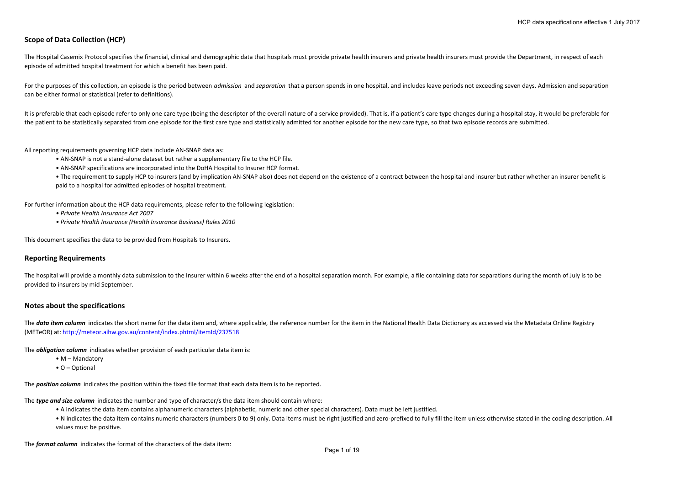# **Scope of Data Collection (HCP)**

The Hospital Casemix Protocol specifies the financial, clinical and demographic data that hospitals must provide private health insurers and private health insurers must provide the Department, in respect of each episode of admitted hospital treatment for which <sup>a</sup> benefit has been paid.

For the purposes of this collection, an episode is the period between *admission* and *separation* that <sup>a</sup> person spends in one hospital, and includes leave periods not exceeding seven days. Admission and separation can be either formal or statistical (refer to definitions).

It is preferable that each episode refer to only one care type (being the descriptor of the overall nature of a service provided). That is, if a patient's care type changes during a hospital stay, it would be preferable fo the patient to be statistically separated from one episode for the first care type and statistically admitted for another episode for the new care type, so that two episode records are submitted.

All reporting requirements governing HCP data include AN‐SNAP data as:

- AN‐SNAP is not <sup>a</sup> stand‐alone dataset but rather <sup>a</sup> supplementary file to the HCP file.
- AN‐SNAP specifications are incorporated into the DoHA Hospital to Insurer HCP format.
- The requirement to supply HCP to insurers (and by implication AN-SNAP also) does not depend on the existence of a contract between the hospital and insurer but rather whether an insurer benefit is paid to <sup>a</sup> hospital for admitted episodes of hospital treatment.

For further information about the HCP data requirements, please refer to the following legislation:

- *• Private Health Insurance Act 2007*
- *• Private Health Insurance (Health Insurance Business) Rules 2010*

This document specifies the data to be provided from Hospitals to Insurers.

#### **Reporting Requirements**

The hospital will provide a monthly data submission to the Insurer within 6 weeks after the end of a hospital separation month. For example, a file containing data for separations during the month of July is to be provided to insurers by mid September.

#### **Notes about the specifications**

The data item column indicates the short name for the data item and, where applicable, the reference number for the item in the National Health Data Dictionary as accessed via the Metadata Online Registry (METeOR) at: http://meteor.aihw.gov.au/content/index.phtml/itemId/237518

The *obligation column* indicates whether provision of each particular data item is:

• M – Mandatory

• O – Optional

The *position column* indicates the position within the fixed file format that each data item is to be reported.

The *type and size column* indicates the number and type of character/s the data item should contain where:

- A indicates the data item contains alphanumeric characters (alphabetic, numeric and other special characters). Data must be left justified.
- N indicates the data item contains numeric characters (numbers 0 to 9) only. Data items must be right justified and zero-prefixed to fully fill the item unless otherwise stated in the coding description. All values must be positive.

The *format column* indicates the format of the characters of the data item: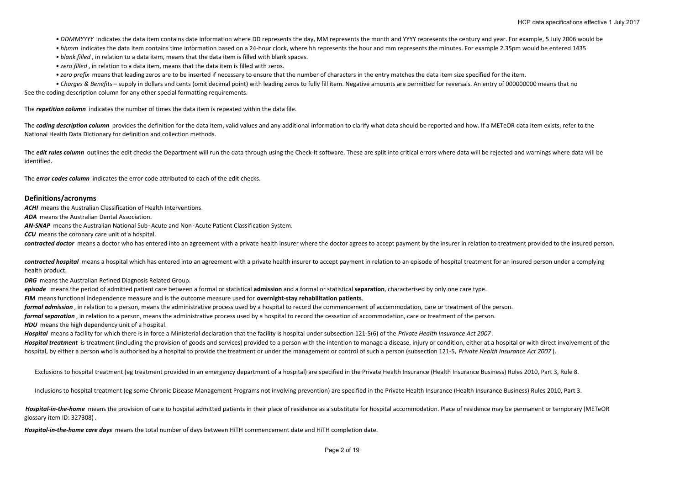• DDMMYYYY indicates the data item contains date information where DD represents the day, MM represents the month and YYYY represents the century and year. For example, 5 July 2006 would be

• *hhmm* indicates the data item contains time information based on a 24‐hour clock, where hh represents the hour and mm represents the minutes. For example 2.35pm would be entered 1435.

*• blank filled* , in relation to <sup>a</sup> data item, means that the data item is filled with blank spaces.

*• zero filled* , in relation to <sup>a</sup> data item, means that the data item is filled with zeros.

*• zero prefix* means that leading zeros are to be inserted if necessary to ensure that the number of characters in the entry matches the data item size specified for the item.

*• Charges & Benefits* – supply in dollars and cents (omit decimal point) with leading zeros to fully fill item. Negative amounts are permitted for reversals. An entry of 000000000 means that no

See the coding description column for any other special formatting requirements.

The *repetition column* indicates the number of times the data item is repeated within the data file.

The coding description column provides the definition for the data item, valid values and any additional information to clarify what data should be reported and how. If a METeOR data item exists, refer to the National Health Data Dictionary for definition and collection methods.

The *edit rules column* outlines the edit checks the Department will run the data through using the Check-It software. These are split into critical errors where data will be rejected and warnings where data will be identified.

The *error codes column* indicates the error code attributed to each of the edit checks.

#### **Definitions/acronyms**

*ACHI* means the Australian Classification of Health Interventions.

*ADA* means the Australian Dental Association.

*AN‐SNAP* means the Australian National Sub‑Acute and Non‑Acute Patient Classification System.

*CCU* means the coronary care unit of <sup>a</sup> hospital.

*contracted doctor* means <sup>a</sup> doctor who has entered into an agreement with <sup>a</sup> private health insurer where the doctor agrees to accept payment by the insurer in relation to treatment provided to the insured person.

*contracted hospital* means <sup>a</sup> hospital which has entered into an agreement with <sup>a</sup> private health insurer to accept payment in relation to an episode of hospital treatment for an insured person under <sup>a</sup> complying health product.

*DRG* means the Australian Refined Diagnosis Related Group.

*episode* means the period of admitted patient care between <sup>a</sup> formal or statistical **admission** and <sup>a</sup> formal or statistical **separation**, characterised by only one care type.

*FIM* means functional independence measure and is the outcome measure used for **overnight‐stay rehabilitation patients**.

*formal admission* , in relation to <sup>a</sup> person, means the administrative process used by <sup>a</sup> hospital to record the commencement of accommodation, care or treatment of the person.

*formal separation* , in relation to <sup>a</sup> person, means the administrative process used by <sup>a</sup> hospital to record the cessation of accommodation, care or treatment of the person.

*HDU* means the high dependency unit of <sup>a</sup> hospital.

*Hospital* means <sup>a</sup> facility for which there is in force <sup>a</sup> Ministerial declaration that the facility is hospital under subsection 121‐5(6) of the *Private Health Insurance Act 2007* .

Hospital treatment is treatment (including the provision of goods and services) provided to a person with the intention to manage a disease, injury or condition, either at a hospital or with direct involvement of the hospital, by either a person who is authorised by a hospital to provide the treatment or under the management or control of such a person (subsection 121-5, Private Health Insurance Act 2007).

Exclusions to hospital treatment (eg treatment provided in an emergency department of <sup>a</sup> hospital) are specified in the Private Health Insurance (Health Insurance Business) Rules 2010, Part 3, Rule 8.

Inclusions to hospital treatment (eg some Chronic Disease Management Programs not involving prevention) are specified in the Private Health Insurance (Health Insurance Business) Rules 2010, Part 3.

Hospital-in-the-home means the provision of care to hospital admitted patients in their place of residence as a substitute for hospital accommodation. Place of residence may be permanent or temporary (METeOR glossary item ID: 327308) .

*Hospital‐in‐the‐home care days* means the total number of days between HiTH commencement date and HiTH completion date.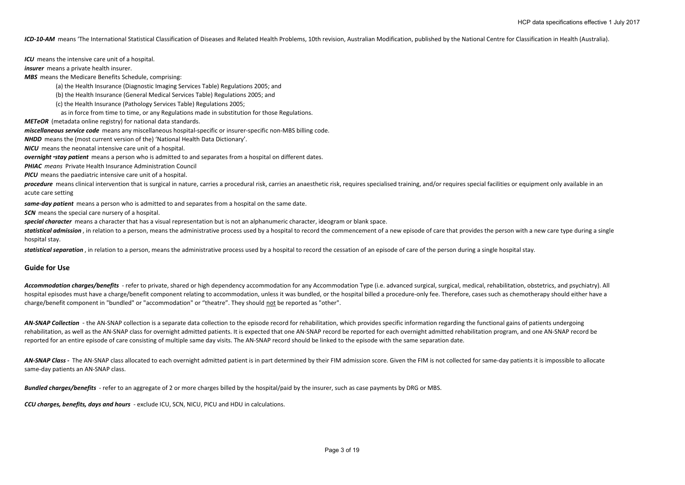ICD-10-AM means 'The International Statistical Classification of Diseases and Related Health Problems, 10th revision, Australian Modification, published by the National Centre for Classification in Health (Australia).

*ICU* means the intensive care unit of <sup>a</sup> hospital.

*insurer* means a private health insurer.

*MBS* means the Medicare Benefits Schedule, comprising:

(a) the Health Insurance (Diagnostic Imaging Services Table) Regulations 2005; and

(b) the Health Insurance (General Medical Services Table) Regulations 2005; and

(c) the Health Insurance (Pathology Services Table) Regulations 2005;

as in force from time to time, or any Regulations made in substitution for those Regulations.

*METeOR* (metadata online registry) for national data standards.

*miscellaneous service code* means any miscellaneous hospital‐specific or insurer‐specific non‐MBS billing code.

*NHDD* means the (most current version of the) 'National Health Data Dictionary'.

*NICU* means the neonatal intensive care unit of <sup>a</sup> hospital.

*overnight*‑*stay patient* means <sup>a</sup> person who is admitted to and separates from <sup>a</sup> hospital on different dates.

*PHIAC means* Private Health Insurance Administration Council

*PICU* means the paediatric intensive care unit of <sup>a</sup> hospital.

procedure means clinical intervention that is surgical in nature, carries a procedural risk, carries an anaesthetic risk, requires specialised training, and/or requires special facilities or equipment only available in an acute care setting

*same‐day patient* means <sup>a</sup> person who is admitted to and separates from <sup>a</sup> hospital on the same date.

*SCN* means the special care nursery of <sup>a</sup> hospital.

*special character* means <sup>a</sup> character that has <sup>a</sup> visual representation but is not an alphanumeric character, ideogram or blank space.

statistical admission, in relation to a person, means the administrative process used by a hospital to record the commencement of a new episode of care that provides the person with a new care type during a single hospital stay.

*statistical separation* , in relation to <sup>a</sup> person, means the administrative process used by <sup>a</sup> hospital to record the cessation of an episode of care of the person during <sup>a</sup> single hospital stay.

#### **Guide for Use**

Accommodation charges/benefits - refer to private, shared or high dependency accommodation for any Accommodation Type (i.e. advanced surgical, surgical, medical, rehabilitation, obstetrics, and psychiatry). All hospital episodes must have a charge/benefit component relating to accommodation, unless it was bundled, or the hospital billed a procedure-only fee. Therefore, cases such as chemotherapy should either have a charge/benefit component in "bundled" or "accommodation" or "theatre". They should not be reported as "other".

AN-SNAP Collection - the AN-SNAP collection is a separate data collection to the episode record for rehabilitation, which provides specific information regarding the functional gains of patients undergoing rehabilitation, as well as the AN‐SNAP class for overnight admitted patients. It is expected that one AN‐SNAP record be reported for each overnight admitted rehabilitation program, and one AN‐SNAP record be reported for an entire episode of care consisting of multiple same day visits. The AN‐SNAP record should be linked to the episode with the same separation date.

AN-SNAP Class - The AN-SNAP class allocated to each overnight admitted patient is in part determined by their FIM admission score. Given the FIM is not collected for same-day patients it is impossible to allocate same-day patients an AN-SNAP class.

*Bundled charges/benefits* ‐ refer to an aggregate of 2 or more charges billed by the hospital/paid by the insurer, such as case payments by DRG or MBS.

*CCU charges, benefits, days and hours* ‐ exclude ICU, SCN, NICU, PICU and HDU in calculations.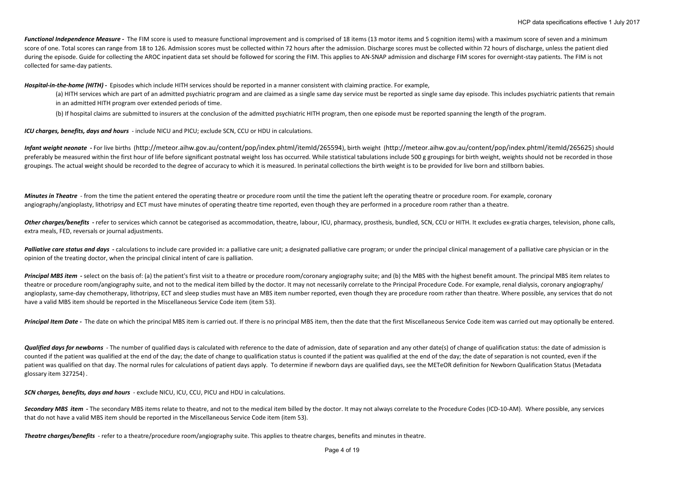Functional Independence Measure - The FIM score is used to measure functional improvement and is comprised of 18 items (13 motor items and 5 cognition items) with a maximum score of seven and a minimum score of one. Total scores can range from 18 to 126. Admission scores must be collected within 72 hours after the admission. Discharge scores must be collected within 72 hours of discharge, unless the patient died during the episode. Guide for collecting the AROC inpatient data set should be followed for scoring the FIM. This applies to AN-SNAP admission and discharge FIM scores for overnight-stay patients. The FIM is not collected for same‐day patients.

*Hospital‐in‐the‐home (HITH) ‐*  Episodes which include HITH services should be reported in <sup>a</sup> manner consistent with claiming practice. For example,

(a) HITH services which are part of an admitted psychiatric program and are claimed as a single same day service must be reported as single same day episode. This includes psychiatric patients that remain in an admitted HITH program over extended periods of time.

(b) If hospital claims are submitted to insurers at the conclusion of the admitted psychiatric HITH program, then one episode must be reported spanning the length of the program.

*ICU charges, benefits, days and hours* ‐ include NICU and PICU; exclude SCN, CCU or HDU in calculations.

Infant weight neonate - For live births (http://meteor.aihw.gov.au/content/pop/index.phtml/itemld/265594), birth weight (http://meteor.aihw.gov.au/content/pop/index.phtml/itemld/265594), birth weight (http://meteor.aihw.go preferably be measured within the first hour of life before significant postnatal weight loss has occurred. While statistical tabulations include 500 g groupings for birth weight, weights should not be recorded in those groupings. The actual weight should be recorded to the degree of accuracy to which it is measured. In perinatal collections the birth weight is to be provided for live born and stillborn babies.

**Minutes in Theatre** - from the time the patient entered the operating theatre or procedure room until the time the patient left the operating theatre or procedure room. For example, coronary angiography/angioplasty, lithotripsy and ECT must have minutes of operating theatre time reported, even though they are performed in <sup>a</sup> procedure room rather than <sup>a</sup> theatre.

Other charges/benefits - refer to services which cannot be categorised as accommodation, theatre, labour, ICU, pharmacy, prosthesis, bundled, SCN, CCU or HITH. It excludes ex-gratia charges, television, phone calls, extra meals, FED, reversals or journal adjustments.

Palliative care status and days - calculations to include care provided in: a palliative care unit; a designated palliative care program; or under the principal clinical management of a palliative care physician or in the opinion of the treating doctor, when the principal clinical intent of care is palliation.

Principal MBS item - select on the basis of: (a) the patient's first visit to a theatre or procedure room/coronary angiography suite: and (b) the MBS with the highest benefit amount. The principal MBS item relates to theatre or procedure room/angiography suite, and not to the medical item billed by the doctor. It may not necessarily correlate to the Principal Procedure Code. For example, renal dialysis, coronary angiography/ angioplasty, same-day chemotherapy, lithotripsy, ECT and sleep studies must have an MBS item number reported, even though they are procedure room rather than theatre. Where possible, any services that do not have <sup>a</sup> valid MBS item should be reported in the Miscellaneous Service Code item (item 53).

Principal Item Date - The date on which the principal MBS item is carried out. If there is no principal MBS item, then the date that the first Miscellaneous Service Code item was carried out may optionally be entered.

Qualified days for newborns - The number of qualified days is calculated with reference to the date of admission, date of separation and any other date(s) of change of qualification status: the date of admission is counted if the patient was qualified at the end of the day; the date of change to qualification status is counted if the patient was qualified at the end of the day; the date of separation is not counted, even if the patient was qualified on that day. The normal rules for calculations of patient days apply. To determine if newborn days are qualified days, see the METeOR definition for Newborn Qualification Status (Metadata glossary item 327254) .

*SCN charges, benefits, days and hours* ‐ exclude NICU, ICU, CCU, PICU and HDU in calculations.

Secondary MBS item - The secondary MBS items relate to theatre, and not to the medical item billed by the doctor. It may not always correlate to the Procedure Codes (ICD-10-AM). Where possible, any services that do not have <sup>a</sup> valid MBS item should be reported in the Miscellaneous Service Code item (item 53).

*Theatre charges/benefits* ‐ refer to <sup>a</sup> theatre/procedure room/angiography suite. This applies to theatre charges, benefits and minutes in theatre.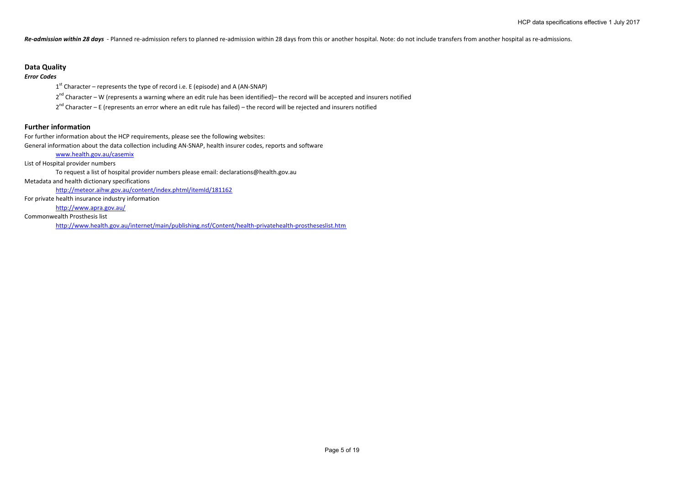Re-admission within 28 days - Planned re-admission refers to planned re-admission within 28 days from this or another hospital. Note: do not include transfers from another hospital as re-admissions.

## **Data Quality**

### *Error Codes*

 $1<sup>st</sup>$  Character – represents the type of record i.e. E (episode) and A (AN-SNAP)

2<sup>nd</sup> Character – W (represents a warning where an edit rule has been identified)– the record will be accepted and insurers notified

2<sup>nd</sup> Character – E (represents an error where an edit rule has failed) – the record will be rejected and insurers notified

## **Further information**

For further information about the HCP requirements, please see the following websites: General information about the data collection including AN‐SNAP, health insurer codes, reports and software

www.health.gov.au/casemix

List of Hospital provider numbers

To request <sup>a</sup> list of hospital provider numbers please email: declarations@health.gov.au

Metadata and health dictionary specifications

http://meteor.aihw.gov.au/content/index.phtml/itemId/181162

For private health insurance industry information

http://www.apra.gov.au/

Commonwealth Prosthesis list

http://www.health.gov.au/internet/main/publishing.nsf/Content/health‐privatehealth‐prostheseslist.htm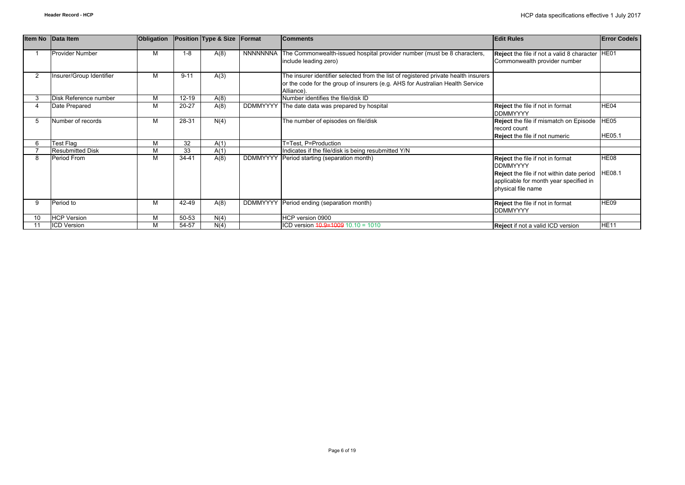|    | Item No Data Item        | Obligation |           | Position Type & Size | Format          | <b>Comments</b>                                                                                                                                                                    | <b>Edit Rules</b>                                                                                                                                                               | <b>Error Code/s</b>   |
|----|--------------------------|------------|-----------|----------------------|-----------------|------------------------------------------------------------------------------------------------------------------------------------------------------------------------------------|---------------------------------------------------------------------------------------------------------------------------------------------------------------------------------|-----------------------|
|    | <b>Provider Number</b>   | м          | $1 - 8$   | A(8)                 |                 | NNNNNNNA The Commonwealth-issued hospital provider number (must be 8 characters,<br>include leading zero)                                                                          | Reject the file if not a valid 8 character<br>Commonwealth provider number                                                                                                      | HE01                  |
|    | Insurer/Group Identifier | м          | $9 - 11$  | A(3)                 |                 | The insurer identifier selected from the list of registered private health insurers<br>or the code for the group of insurers (e.g. AHS for Australian Health Service<br>Alliance). |                                                                                                                                                                                 |                       |
|    | Disk Reference number    | М          | $12 - 19$ | A(8)                 |                 | Number identifies the file/disk ID                                                                                                                                                 |                                                                                                                                                                                 |                       |
|    | Date Prepared            | М          | 20-27     | A(8)                 |                 | DDMMYYYY The date data was prepared by hospital                                                                                                                                    | <b>Reject</b> the file if not in format<br><b>DDMMYYYY</b>                                                                                                                      | HE04                  |
|    | Number of records        | м          | 28-31     | N(4)                 |                 | The number of episodes on file/disk                                                                                                                                                | <b>Reject</b> the file if mismatch on Episode<br>record count<br><b>Reject</b> the file if not numeric                                                                          | HE05<br><b>HE05.1</b> |
|    | Test Flag                | М          | 32        | A(1)                 |                 | T=Test, P=Production                                                                                                                                                               |                                                                                                                                                                                 |                       |
|    | <b>Resubmitted Disk</b>  | М          | 33        | A(1)                 |                 | Indicates if the file/disk is being resubmitted Y/N                                                                                                                                |                                                                                                                                                                                 |                       |
| 8  | Period From              | М          | $34 - 41$ | A(8)                 | <b>DDMMYYYY</b> | Period starting (separation month)                                                                                                                                                 | <b>Reject</b> the file if not in format<br><b>IDDMMYYYY</b><br><b>Reject</b> the file if not within date period<br>applicable for month year specified in<br>physical file name | HE08<br><b>HE08.1</b> |
| 9  | Period to                | М          | 42-49     | A(8)                 |                 | DDMMYYYY Period ending (separation month)                                                                                                                                          | <b>Reject</b> the file if not in format                                                                                                                                         | HE09                  |
|    |                          |            |           |                      |                 |                                                                                                                                                                                    | <b>DDMMYYYY</b>                                                                                                                                                                 |                       |
| 10 | <b>HCP Version</b>       | м          | 50-53     | N(4)                 |                 | HCP version 0900                                                                                                                                                                   |                                                                                                                                                                                 |                       |
|    | <b>ICD Version</b>       | М          | 54-57     | N(4)                 |                 | ICD version $40.9 = 1009$ 10.10 = 1010                                                                                                                                             | <b>Reject</b> if not a valid ICD version                                                                                                                                        | <b>HE11</b>           |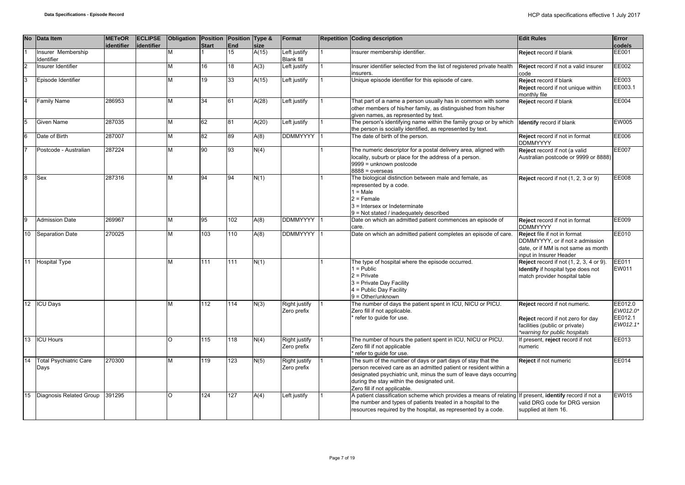|                | No Data Item                      | <b>METeOR</b><br>identifier | <b>ECLIPSE</b><br>identifier | Obligation Position Position Type & | <b>Start</b> | <b>End</b> | size  | Format                              | <b>Repetition Coding description</b>                                                                                                                                                                                                                                                 | <b>Edit Rules</b>                                                                                                                     | Error<br>code/s                            |
|----------------|-----------------------------------|-----------------------------|------------------------------|-------------------------------------|--------------|------------|-------|-------------------------------------|--------------------------------------------------------------------------------------------------------------------------------------------------------------------------------------------------------------------------------------------------------------------------------------|---------------------------------------------------------------------------------------------------------------------------------------|--------------------------------------------|
|                | Insurer Membership<br>Identifier  |                             |                              | М                                   |              | 15         | A(15) | Left justify<br><b>Blank fill</b>   | Insurer membership identifier.                                                                                                                                                                                                                                                       | Reject record if blank                                                                                                                | <b>EE001</b>                               |
| $\overline{2}$ | Insurer Identifier                |                             |                              | M                                   | 16           | 18         | A(3)  | Left justify                        | Insurer identifier selected from the list of registered private health<br>insurers.                                                                                                                                                                                                  | Reject record if not a valid insurer<br>code                                                                                          | EE002                                      |
| 3              | Episode Identifier                |                             |                              | M                                   | 19           | 33         | A(15) | Left justify                        | Unique episode identifier for this episode of care.                                                                                                                                                                                                                                  | Reject record if blank<br>Reject record if not unique within<br>nonthly file                                                          | EE003<br>EE003.1                           |
|                | <b>Family Name</b>                | 286953                      |                              | М                                   | 34           | 61         | A(28) | Left justify                        | That part of a name a person usually has in common with some<br>other members of his/her family, as distinguished from his/her<br>given names, as represented by text.                                                                                                               | Reject record if blank                                                                                                                | <b>EE004</b>                               |
| 5              | <b>Given Name</b>                 | 287035                      |                              | M                                   | 62           | 81         | A(20) | Left justify                        | The person's identifying name within the family group or by which<br>the person is socially identified, as represented by text.                                                                                                                                                      | <b>Identify</b> record if blank                                                                                                       | <b>EW005</b>                               |
| 6              | Date of Birth                     | 287007                      |                              | M                                   | 82           | 89         | A(8)  | DDMMYYYY 1                          | The date of birth of the person.                                                                                                                                                                                                                                                     | Reject record if not in format<br><b>DDMMYYYY</b>                                                                                     | EE006                                      |
|                | Postcode - Australian             | 287224                      |                              | М                                   | 90           | 93         | N(4)  |                                     | The numeric descriptor for a postal delivery area, aligned with<br>locality, suburb or place for the address of a person.<br>9999 = unknown postcode<br>$8888 = 0$ verseas                                                                                                           | Reject record if not (a valid<br>Australian postcode or 9999 or 8888)                                                                 | <b>EE007</b>                               |
| 8              | Sex                               | 287316                      |                              | M                                   | 94           | 94         | N(1)  |                                     | The biological distinction between male and female, as<br>represented by a code.<br>$1 = Male$<br>$2 =$ Female<br>3 = Intersex or Indeterminate<br>9 = Not stated / inadequately described                                                                                           | Reject record if not (1, 2, 3 or 9)                                                                                                   | <b>EE008</b>                               |
|                | <b>Admission Date</b>             | 269967                      |                              | М                                   | 95           | 102        | A(8)  | DDMMYYYY 11                         | Date on which an admitted patient commences an episode of<br>care.                                                                                                                                                                                                                   | Reject record if not in format<br><b>DDMMYYYY</b>                                                                                     | EE009                                      |
| 10             | Separation Date                   | 270025                      |                              | M                                   | 103          | 110        | A(8)  | <b>DDMMYYYY</b>                     | Date on which an admitted patient completes an episode of care.                                                                                                                                                                                                                      | Reject file if not in format<br>DDMMYYYY, or if not ≥ admission<br>date, or if MM is not same as month<br>input in Insurer Header     | EE010                                      |
|                | 11 Hospital Type                  |                             |                              | M                                   | 111          | 111        | N(1)  |                                     | The type of hospital where the episode occurred.<br>$1 =$ Public<br>$2$ = Private<br>3 = Private Day Facility<br>4 = Public Day Facility<br>$9 = Other/unknown$                                                                                                                      | Reject record if not (1, 2, 3, 4 or 9).<br>Identify if hospital type does not<br>match provider hospital table                        | EE011<br>EW011                             |
|                | 12 ICU Days                       |                             |                              | М                                   | 112          | 114        | N(3)  | Right justify<br>Zero prefix        | The number of days the patient spent in ICU, NICU or PICU.<br>Zero fill if not applicable.<br>refer to guide for use.                                                                                                                                                                | Reject record if not numeric.<br>Reject record if not zero for day<br>facilities (public or private)<br>*warning for public hospitals | EE012.0<br>EW012.0*<br>EE012.1<br>EW012.1* |
|                | 13 <b>ICU Hours</b>               |                             |                              | O                                   | 115          | 118        | N(4)  | Right justify<br>Zero prefix        | The number of hours the patient spent in ICU, NICU or PICU.<br>Zero fill if not applicable<br>* refer to quide for use.                                                                                                                                                              | If present, reject record if not<br>numeric                                                                                           | EE013                                      |
|                | 14 Total Psychiatric Care<br>Days | 270300                      |                              | M                                   | 119          | 123        | N(5)  | <b>Right justify</b><br>Zero prefix | The sum of the number of days or part days of stay that the<br>person received care as an admitted patient or resident within a<br>designated psychiatric unit, minus the sum of leave days occurring<br>during the stay within the designated unit.<br>Zero fill if not applicable. | Reject if not numeric                                                                                                                 | <b>EE014</b>                               |
| 15             | Diagnosis Related Group           | 391295                      |                              | $\Omega$                            | 124          | 127        | A(4)  | Left justify                        | A patient classification scheme which provides a means of relating If present, <b>identify</b> record if not a<br>the number and types of patients treated in a hospital to the<br>resources required by the hospital, as represented by a code.                                     | valid DRG code for DRG version<br>supplied at item 16.                                                                                | <b>EW015</b>                               |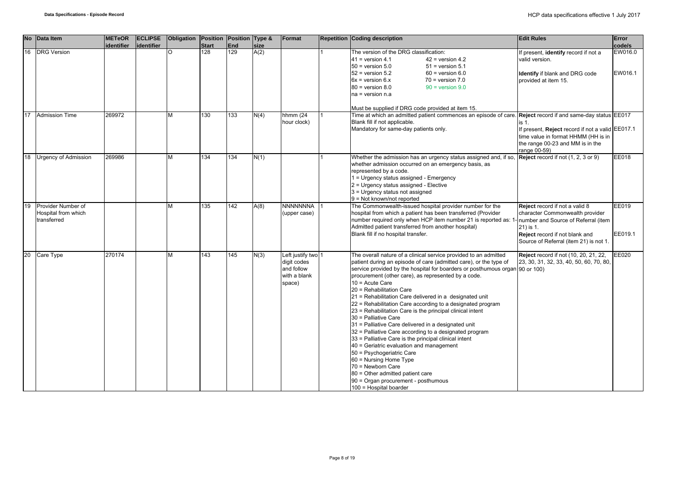| <b>No</b> | Data Item                          | <b>METeOR</b> | <b>ECLIPSE</b> | Obligation | Position     | Position Type & |      | Format                                                                    | <b>Repetition Coding description</b>                                                                                                                                                                                                                                                                                                                                                                                                                                                                                                                                                                                                                                                                                                                                                                                                                                                                                                               | <b>Edit Rules</b>                                                                                                                                               | Error              |
|-----------|------------------------------------|---------------|----------------|------------|--------------|-----------------|------|---------------------------------------------------------------------------|----------------------------------------------------------------------------------------------------------------------------------------------------------------------------------------------------------------------------------------------------------------------------------------------------------------------------------------------------------------------------------------------------------------------------------------------------------------------------------------------------------------------------------------------------------------------------------------------------------------------------------------------------------------------------------------------------------------------------------------------------------------------------------------------------------------------------------------------------------------------------------------------------------------------------------------------------|-----------------------------------------------------------------------------------------------------------------------------------------------------------------|--------------------|
|           |                                    | identifier    | identifier     |            | <b>Start</b> | End             | size |                                                                           |                                                                                                                                                                                                                                                                                                                                                                                                                                                                                                                                                                                                                                                                                                                                                                                                                                                                                                                                                    |                                                                                                                                                                 | code/s             |
| 16        | <b>DRG</b> Version                 |               |                | O          | 128          | 129             | A(2) |                                                                           | The version of the DRG classification:<br>$41$ = version 4.1<br>$42$ = version 4.2<br>$50 =$ version $5.0$<br>$51$ = version $5.1$<br>$52$ = version $5.2$<br>$60$ = version $6.0$<br>$6x =$ version $6.x$<br>$70$ = version $7.0$<br>$80 =$ version $8.0$<br>$90 =$ version $9.0$<br>$na = version n.a$<br>Must be supplied if DRG code provided at item 15.                                                                                                                                                                                                                                                                                                                                                                                                                                                                                                                                                                                      | If present, identify record if not a<br>valid version.<br><b>Identify</b> if blank and DRG code<br>provided at item 15.                                         | EW016.0<br>EW016.1 |
| 17        | <b>Admission Time</b>              | 269972        |                | М          | 130          | 133             | N(4) | hhmm (24                                                                  | Time at which an admitted patient commences an episode of care. Reject record if and same-day status EE017                                                                                                                                                                                                                                                                                                                                                                                                                                                                                                                                                                                                                                                                                                                                                                                                                                         |                                                                                                                                                                 |                    |
|           |                                    |               |                |            |              |                 |      | hour clock)                                                               | Blank fill if not applicable.<br>Mandatory for same-day patients only.                                                                                                                                                                                                                                                                                                                                                                                                                                                                                                                                                                                                                                                                                                                                                                                                                                                                             | is 1.<br>If present, Reject record if not a valid EE017.1<br>time value in format HHMM (HH is in<br>the range 00-23 and MM is in the<br>range 00-59)            |                    |
| 18        | <b>Urgency of Admission</b>        | 269986        |                | М          | 134          | 134             | N(1) |                                                                           | Whether the admission has an urgency status assigned and, if so,<br>whether admission occurred on an emergency basis, as<br>represented by a code.<br>1 = Urgency status assigned - Emergency<br>2 = Urgency status assigned - Elective<br>3 = Urgency status not assigned<br>$9 = Not known/not reported$                                                                                                                                                                                                                                                                                                                                                                                                                                                                                                                                                                                                                                         | Reject record if not (1, 2, 3 or 9)                                                                                                                             | <b>EE018</b>       |
| 19        | Provider Number of                 |               |                | М          | 135          | 142             | A(8) | NNNNNNNA                                                                  | The Commonwealth-issued hospital provider number for the                                                                                                                                                                                                                                                                                                                                                                                                                                                                                                                                                                                                                                                                                                                                                                                                                                                                                           | Reject record if not a valid 8                                                                                                                                  | EE019              |
|           | Hospital from which<br>transferred |               |                |            |              |                 |      | (upper case)                                                              | hospital from which a patient has been transferred (Provider<br>number required only when HCP item number 21 is reported as: 1<br>Admitted patient transferred from another hospital)<br>Blank fill if no hospital transfer.                                                                                                                                                                                                                                                                                                                                                                                                                                                                                                                                                                                                                                                                                                                       | character Commonwealth provider<br>number and Source of Referral (item<br>21) is 1.<br>Reject record if not blank and<br>Source of Referral (item 21) is not 1. | EE019.1            |
| 20        | Care Type                          | 270174        |                | М          | 143          | 145             | N(3) | Left justify two 1<br>digit codes<br>and follow<br>with a blank<br>space) | The overall nature of a clinical service provided to an admitted<br>patient during an episode of care (admitted care), or the type of<br>service provided by the hospital for boarders or posthumous organ 90 or 100)<br>procurement (other care), as represented by a code.<br>$10 =$ Acute Care<br>20 = Rehabilitation Care<br>21 = Rehabilitation Care delivered in a designated unit<br>22 = Rehabilitation Care according to a designated program<br>23 = Rehabilitation Care is the principal clinical intent<br>30 = Palliative Care<br>31 = Palliative Care delivered in a designated unit<br>32 = Palliative Care according to a designated program<br>33 = Palliative Care is the principal clinical intent<br>40 = Geriatric evaluation and management<br>50 = Psychogeriatric Care<br>60 = Nursing Home Type<br>70 = Newborn Care<br>80 = Other admitted patient care<br>90 = Organ procurement - posthumous<br>100 = Hospital boarder | Reject record if not (10, 20, 21, 22,<br>23, 30, 31, 32, 33, 40, 50, 60, 70, 80,                                                                                | EE020              |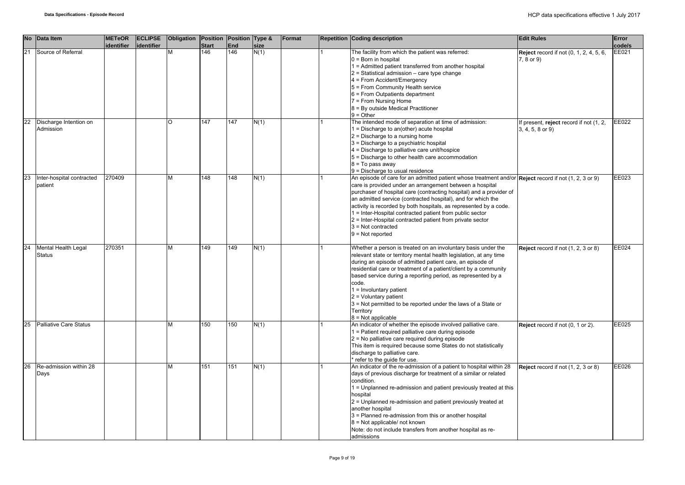|    | No Data Item                         | <b>METeOR</b><br>identifier | <b>ECLIPSE</b><br>lidentifier | Obligation Position Position Type & | <b>Start</b> | End | size | Format | <b>Repetition Coding description</b>                                                                                                                                                                                                                                                                                                                                                                                                                                                                                                                 | <b>Edit Rules</b>                                              | Error<br>code/s |
|----|--------------------------------------|-----------------------------|-------------------------------|-------------------------------------|--------------|-----|------|--------|------------------------------------------------------------------------------------------------------------------------------------------------------------------------------------------------------------------------------------------------------------------------------------------------------------------------------------------------------------------------------------------------------------------------------------------------------------------------------------------------------------------------------------------------------|----------------------------------------------------------------|-----------------|
| 21 | Source of Referral                   |                             |                               | M                                   | 146          | 146 | N(1) |        | The facility from which the patient was referred:<br>$0 = Born$ in hospital<br>1 = Admitted patient transferred from another hospital<br>$2$ = Statistical admission – care type change<br>4 = From Accident/Emergency<br>5 = From Community Health service<br>6 = From Outpatients department<br>7 = From Nursing Home<br>8 = By outside Medical Practitioner                                                                                                                                                                                       | <b>Reject</b> record if not (0, 1, 2, 4, 5, 6,<br>7, 8 or 9)   | EE021           |
| 22 | Discharge Intention on<br>Admission  |                             |                               | $\circ$                             | 147          | 147 | N(1) |        | $9 = Other$<br>The intended mode of separation at time of admission:<br>1 = Discharge to an(other) acute hospital<br>$2$ = Discharge to a nursing home<br>3 = Discharge to a psychiatric hospital<br>4 = Discharge to palliative care unit/hospice<br>5 = Discharge to other health care accommodation<br>8 = To pass away<br>9 = Discharge to usual residence                                                                                                                                                                                       | f present, reject record if not (1, 2,<br>$3, 4, 5, 8$ or $9)$ | EE022           |
| 23 | Inter-hospital contracted<br>patient | 270409                      |                               | M                                   | 148          | 148 | N(1) |        | An episode of care for an admitted patient whose treatment and/or Reject record if not (1, 2, 3 or 9)<br>care is provided under an arrangement between a hospital<br>purchaser of hospital care (contracting hospital) and a provider of<br>an admitted service (contracted hospital), and for which the<br>activity is recorded by both hospitals, as represented by a code.<br>1 = Inter-Hospital contracted patient from public sector<br>2 = Inter-Hospital contracted patient from private sector<br>$3$ = Not contracted<br>$9 = Not reported$ |                                                                | EE023           |
| 24 | Mental Health Legal<br><b>Status</b> | 270351                      |                               | M                                   | 149          | 149 | N(1) |        | Whether a person is treated on an involuntary basis under the<br>relevant state or territory mental health legislation, at any time<br>during an episode of admitted patient care, an episode of<br>residential care or treatment of a patient/client by a community<br>based service during a reporting period, as represented by a<br>code.<br>1 = Involuntary patient<br>$2$ = Voluntary patient<br>3 = Not permitted to be reported under the laws of a State or<br>Territory<br>$8 = Not applicable$                                            | Reject record if not (1, 2, 3 or 8)                            | EE024           |
| 25 | <b>Palliative Care Status</b>        |                             |                               | M                                   | 150          | 150 | N(1) |        | An indicator of whether the episode involved palliative care.<br>1 = Patient required palliative care during episode<br>2 = No palliative care required during episode<br>This item is required because some States do not statistically<br>discharge to palliative care.<br>* refer to the guide for use.                                                                                                                                                                                                                                           | Reject record if not (0, 1 or 2).                              | EE025           |
| 26 | Re-admission within 28<br>Days       |                             |                               | M                                   | 151          | 151 | N(1) |        | An indicator of the re-admission of a patient to hospital within 28<br>days of previous discharge for treatment of a similar or related<br>condition.<br>1 = Unplanned re-admission and patient previously treated at this<br>hospital<br>2 = Unplanned re-admission and patient previously treated at<br>another hospital<br>3 = Planned re-admission from this or another hospital<br>8 = Not applicable/ not known<br>Note: do not include transfers from another hospital as re-<br>admissions                                                   | Reject record if not (1, 2, 3 or 8)                            | EE026           |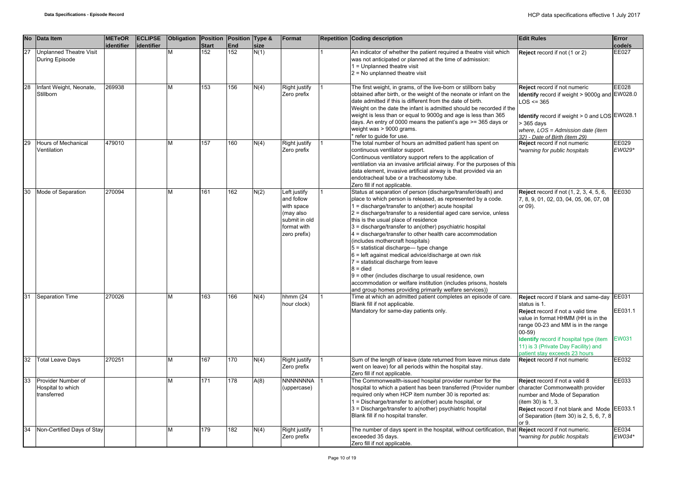|    | No Data Item                                           | <b>METeOR</b><br>identifier | <b>ECLIPSE</b><br>identifier | Obligation Position Position Type & | <b>Start</b> | End | size | Format                                                                                                | <b>Repetition Coding description</b>                                                                                                                                                                                                                                                                                                                                                                                                                                                                                                                                                                                                                                                                                                                                                                            | <b>Edit Rules</b>                                                                                                                                                                                                                                                                                   | Error<br>code/s                  |
|----|--------------------------------------------------------|-----------------------------|------------------------------|-------------------------------------|--------------|-----|------|-------------------------------------------------------------------------------------------------------|-----------------------------------------------------------------------------------------------------------------------------------------------------------------------------------------------------------------------------------------------------------------------------------------------------------------------------------------------------------------------------------------------------------------------------------------------------------------------------------------------------------------------------------------------------------------------------------------------------------------------------------------------------------------------------------------------------------------------------------------------------------------------------------------------------------------|-----------------------------------------------------------------------------------------------------------------------------------------------------------------------------------------------------------------------------------------------------------------------------------------------------|----------------------------------|
| 27 | <b>Unplanned Theatre Visit</b><br>During Episode       |                             |                              | M                                   | 152          | 152 | N(1) |                                                                                                       | An indicator of whether the patient required a theatre visit which<br>was not anticipated or planned at the time of admission:<br>1 = Unplanned theatre visit<br>$2$ = No unplanned theatre visit                                                                                                                                                                                                                                                                                                                                                                                                                                                                                                                                                                                                               | Reject record if not (1 or 2)                                                                                                                                                                                                                                                                       | EE027                            |
| 28 | Infant Weight, Neonate,<br>Stillborn                   | 269938                      |                              | м                                   | 153          | 156 | N(4) | Right justify<br>Zero prefix                                                                          | The first weight, in grams, of the live-born or stillborn baby<br>obtained after birth, or the weight of the neonate or infant on the<br>date admitted if this is different from the date of birth.<br>Weight on the date the infant is admitted should be recorded if the<br>weight is less than or equal to 9000g and age is less than 365<br>days. An entry of 0000 means the patient's age >= 365 days or<br>weight was > 9000 grams.<br>* refer to guide for use.                                                                                                                                                                                                                                                                                                                                          | Reject record if not numeric<br>Identify record if weight > 9000g and EW028.0<br>$LOS \le 365$<br>Identify record if weight > 0 and LOS EW028.1<br>> 365 days<br>where, $LOS = Admission date (item)$<br>32) - Date of Birth (item 29)                                                              | EE028                            |
| 29 | Hours of Mechanical<br>Ventilation                     | 479010                      |                              | м                                   | 157          | 160 | N(4) | <b>Right justify</b><br>Zero prefix                                                                   | The total number of hours an admitted patient has spent on<br>continuous ventilator support.<br>Continuous ventilatory support refers to the application of<br>ventilation via an invasive artificial airway. For the purposes of this<br>data element, invasive artificial airway is that provided via an<br>endotracheal tube or a tracheostomy tube.<br>Zero fill if not applicable.                                                                                                                                                                                                                                                                                                                                                                                                                         | Reject record if not numeric<br>*warning for public hospitals                                                                                                                                                                                                                                       | EE029<br>EW029*                  |
|    | Mode of Separation                                     | 270094                      |                              | M                                   | 161          | 162 | N(2) | Left justify<br>and follow<br>with space<br>(may also<br>submit in old<br>format with<br>zero prefix) | Status at separation of person (discharge/transfer/death) and<br>place to which person is released, as represented by a code.<br>1 = discharge/transfer to an(other) acute hospital<br>2 = discharge/transfer to a residential aged care service, unless<br>this is the usual place of residence<br>3 = discharge/transfer to an(other) psychiatric hospital<br>4 = discharge/transfer to other health care accommodation<br>(includes mothercraft hospitals)<br>5 = statistical discharge-type change<br>$6$ = left against medical advice/discharge at own risk<br>7 = statistical discharge from leave<br>$8 =$ died<br>$9$ = other (includes discharge to usual residence, own<br>accommodation or welfare institution (includes prisons, hostels<br>and group homes providing primarily welfare services)) | <b>Reject</b> record if not (1, 2, 3, 4, 5, 6,<br>7, 8, 9, 01, 02, 03, 04, 05, 06, 07, 08<br>or 09).                                                                                                                                                                                                | EE030                            |
| 31 | <b>Separation Time</b>                                 | 270026                      |                              | М                                   | 163          | 166 | N(4) | hhmm $(24)$<br>hour clock)                                                                            | Time at which an admitted patient completes an episode of care.<br>Blank fill if not applicable.<br>Mandatory for same-day patients only.                                                                                                                                                                                                                                                                                                                                                                                                                                                                                                                                                                                                                                                                       | Reject record if blank and same-day<br>status is 1.<br>Reject record if not a valid time<br>value in format HHMM (HH is in the<br>range 00-23 and MM is in the range<br>$00 - 59$<br>Identify record if hospital type (item<br>11) is 3 (Private Day Facility) and<br>patient stay exceeds 23 hours | EE031<br>EE031.1<br><b>EW031</b> |
| 32 | <b>Total Leave Days</b>                                | 270251                      |                              | м                                   | 167          | 170 | N(4) | <b>Right justify</b><br>Zero prefix                                                                   | Sum of the length of leave (date returned from leave minus date<br>went on leave) for all periods within the hospital stay.<br>Zero fill if not applicable.                                                                                                                                                                                                                                                                                                                                                                                                                                                                                                                                                                                                                                                     | Reject record if not numeric                                                                                                                                                                                                                                                                        | EE032                            |
| 33 | Provider Number of<br>Hospital to which<br>transferred |                             |                              | М                                   | 171          | 178 | A(8) | <b>NNNNNNNA</b><br>(uppercase)                                                                        | The Commonwealth-issued hospital provider number for the<br>hospital to which a patient has been transferred (Provider number<br>required only when HCP item number 30 is reported as:<br>1 = Discharge/transfer to an(other) acute hospital, or<br>3 = Discharge/transfer to a(nother) psychiatric hospital<br>Blank fill if no hospital transfer.                                                                                                                                                                                                                                                                                                                                                                                                                                                             | Reject record if not a valid 8<br>character Commonwealth provider<br>number and Mode of Separation<br>(item 30) is 1, 3.<br>Reject record if not blank and Mode<br>of Separation (item 30) is 2, 5, 6, 7, 8<br>or 9.                                                                                | EE033<br>EE033.1                 |
| 34 | Non-Certified Days of Stay                             |                             |                              | М                                   | 179          | 182 | N(4) | Right justify<br>Zero prefix                                                                          | The number of days spent in the hospital, without certification, tha<br>exceeded 35 days.<br>Zero fill if not applicable.                                                                                                                                                                                                                                                                                                                                                                                                                                                                                                                                                                                                                                                                                       | Reject record if not numeric.<br>*warning for public hospitals                                                                                                                                                                                                                                      | EE034<br>EW034*                  |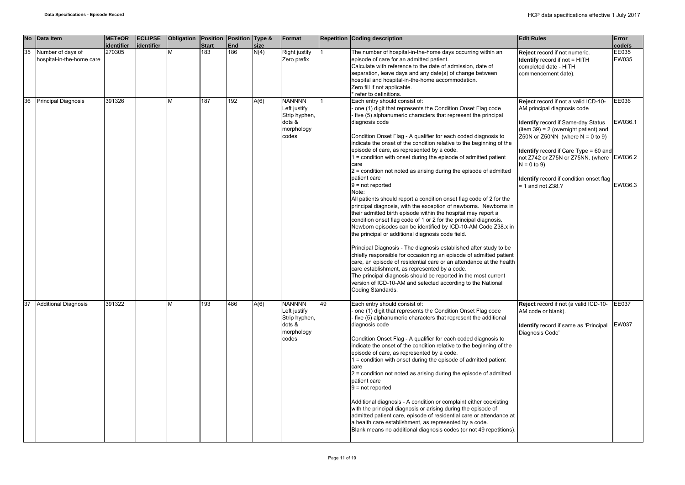|    | No Data Item                                   | <b>METeOR</b><br>identifier | <b>ECLIPSE</b><br>identifier | Obligation Position Position Type & | <b>Start</b> | End | size | Format                                                                          |    | <b>Repetition Coding description</b>                                                                                                                                                                                                                                                                                                                                                                                                                                                                                                                                                                                                                                                                                                                                                                                                                                                                                                                                                                                                                                                                                                                                                                                                                                                                                                                                                                    | <b>Edit Rules</b>                                                                                                                                                                                                                                                                                                                                                                  | Error<br>code/s             |
|----|------------------------------------------------|-----------------------------|------------------------------|-------------------------------------|--------------|-----|------|---------------------------------------------------------------------------------|----|---------------------------------------------------------------------------------------------------------------------------------------------------------------------------------------------------------------------------------------------------------------------------------------------------------------------------------------------------------------------------------------------------------------------------------------------------------------------------------------------------------------------------------------------------------------------------------------------------------------------------------------------------------------------------------------------------------------------------------------------------------------------------------------------------------------------------------------------------------------------------------------------------------------------------------------------------------------------------------------------------------------------------------------------------------------------------------------------------------------------------------------------------------------------------------------------------------------------------------------------------------------------------------------------------------------------------------------------------------------------------------------------------------|------------------------------------------------------------------------------------------------------------------------------------------------------------------------------------------------------------------------------------------------------------------------------------------------------------------------------------------------------------------------------------|-----------------------------|
| 35 | Number of days of<br>hospital-in-the-home care | 270305                      |                              | M                                   | 183          | 186 | N(4) | Right justify<br>Zero prefix                                                    |    | The number of hospital-in-the-home days occurring within an<br>episode of care for an admitted patient.<br>Calculate with reference to the date of admission, date of<br>separation, leave days and any date(s) of change between<br>hospital and hospital-in-the-home accommodation.<br>Zero fill if not applicable.<br>refer to definitions.                                                                                                                                                                                                                                                                                                                                                                                                                                                                                                                                                                                                                                                                                                                                                                                                                                                                                                                                                                                                                                                          | Reject record if not numeric.<br><b>Identify</b> record if not = HITH<br>completed date - HITH<br>commencement date).                                                                                                                                                                                                                                                              | EE035<br><b>EW035</b>       |
| 36 | <b>Principal Diagnosis</b>                     | 391326                      |                              | М                                   | 187          | 192 | A(6) | <b>NANNNN</b><br>Left justify<br>Strip hyphen,<br>dots &<br>morphology<br>codes |    | Each entry should consist of:<br>one (1) digit that represents the Condition Onset Flag code<br>five (5) alphanumeric characters that represent the principal<br>diagnosis code<br>Condition Onset Flag - A qualifier for each coded diagnosis to<br>indicate the onset of the condition relative to the beginning of the<br>episode of care, as represented by a code.<br>1 = condition with onset during the episode of admitted patient<br>care<br>$2$ = condition not noted as arising during the episode of admitted<br>patient care<br>$9 = not reported$<br>Note:<br>All patients should report a condition onset flag code of 2 for the<br>principal diagnosis, with the exception of newborns. Newborns in<br>their admitted birth episode within the hospital may report a<br>condition onset flag code of 1 or 2 for the principal diagnosis.<br>Newborn episodes can be identified by ICD-10-AM Code Z38.x in<br>the principal or additional diagnosis code field.<br>Principal Diagnosis - The diagnosis established after study to be<br>chiefly responsible for occasioning an episode of admitted patient<br>care, an episode of residential care or an attendance at the health<br>care establishment, as represented by a code.<br>The principal diagnosis should be reported in the most current<br>version of ICD-10-AM and selected according to the National<br>Coding Standards. | Reject record if not a valid ICD-10-<br>AM principal diagnosis code<br><b>Identify</b> record if Same-day Status<br>(item $39$ ) = 2 (overnight patient) and<br>Z50N or Z50NN (where $N = 0$ to 9)<br><b>Identify</b> record if Care Type = 60 and<br>not Z742 or Z75N or Z75NN. (where EW036.2<br>$N = 0$ to 9)<br>Identify record if condition onset flag<br>$= 1$ and not Z38.? | EE036<br>EW036.1<br>EW036.3 |
| 37 | <b>Additional Diagnosis</b>                    | 391322                      |                              | М                                   | 193          | 486 | A(6) | <b>NANNNN</b><br>Left justify<br>Strip hyphen,<br>dots &<br>morphology<br>codes | 49 | Each entry should consist of:<br>one (1) digit that represents the Condition Onset Flag code<br>five (5) alphanumeric characters that represent the additional<br>diagnosis code<br>Condition Onset Flag - A qualifier for each coded diagnosis to<br>indicate the onset of the condition relative to the beginning of the<br>episode of care, as represented by a code.<br>$1 =$ condition with onset during the episode of admitted patient<br>care<br>$2$ = condition not noted as arising during the episode of admitted<br>patient care<br>$9 = not reported$<br>Additional diagnosis - A condition or complaint either coexisting<br>with the principal diagnosis or arising during the episode of<br>admitted patient care, episode of residential care or attendance at<br>a health care establishment, as represented by a code.<br>Blank means no additional diagnosis codes (or not 49 repetitions).                                                                                                                                                                                                                                                                                                                                                                                                                                                                                         | Reject record if not (a valid ICD-10-<br>AM code or blank).<br><b>Identify</b> record if same as 'Principal<br>Diagnosis Code'                                                                                                                                                                                                                                                     | EE037<br>EW037              |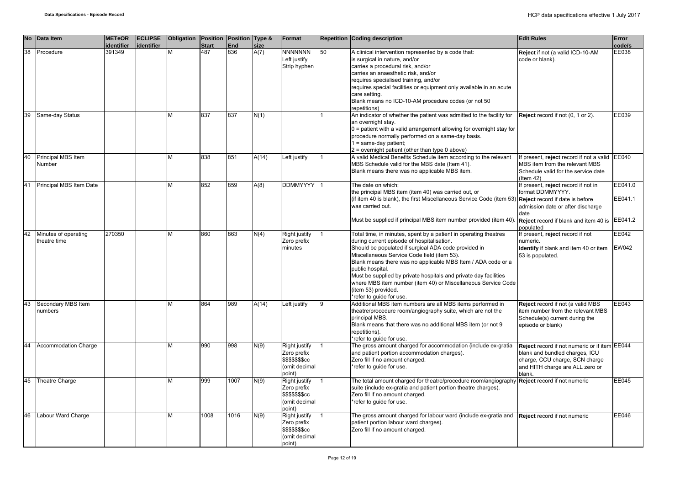| <b>No</b> | Data Item                            | <b>METeOR</b><br>identifier | <b>ECLIPSE</b><br>lidentifier | Obligation Position Position Type & | <b>Start</b> | <b>End</b> | size  | Format                                                                                    |    | <b>Repetition Coding description</b>                                                                                                                                                                                                                                                                                                                                                                                                                                                              | <b>Edit Rules</b>                                                                                                                                              | Error<br>code/s       |
|-----------|--------------------------------------|-----------------------------|-------------------------------|-------------------------------------|--------------|------------|-------|-------------------------------------------------------------------------------------------|----|---------------------------------------------------------------------------------------------------------------------------------------------------------------------------------------------------------------------------------------------------------------------------------------------------------------------------------------------------------------------------------------------------------------------------------------------------------------------------------------------------|----------------------------------------------------------------------------------------------------------------------------------------------------------------|-----------------------|
| 38        | Procedure                            | 391349                      |                               | М                                   | 487          | 836        | A(7)  | <b>NNNNNNN</b><br>Left justify<br>Strip hyphen                                            | 50 | A clinical intervention represented by a code that:<br>is surgical in nature, and/or<br>carries a procedural risk, and/or<br>carries an anaesthetic risk, and/or<br>requires specialised training, and/or<br>requires special facilities or equipment only available in an acute<br>care setting.<br>Blank means no ICD-10-AM procedure codes (or not 50<br>repetitions)                                                                                                                          | Reject if not (a valid ICD-10-AM<br>code or blank).                                                                                                            | EE038                 |
| 39        | Same-day Status                      |                             |                               | M                                   | 837          | 837        | N(1)  |                                                                                           |    | An indicator of whether the patient was admitted to the facility for<br>an overnight stay.<br>$0$ = patient with a valid arrangement allowing for overnight stay for<br>procedure normally performed on a same-day basis.<br>$1 = same-day patient;$<br>$2$ = overnight patient (other than type 0 above)                                                                                                                                                                                         | Reject record if not (0, 1 or 2).                                                                                                                              | EE039                 |
| 40        | Principal MBS Item<br>Number         |                             |                               | M                                   | 838          | 851        | A(14) | Left justify                                                                              |    | A valid Medical Benefits Schedule item according to the relevant<br>MBS Schedule valid for the MBS date (Item 41).<br>Blank means there was no applicable MBS item.                                                                                                                                                                                                                                                                                                                               | f present, reject record if not a valid EE040<br>MBS item from the relevant MBS<br>Schedule valid for the service date<br>$($ ltem 42 $)$                      |                       |
| 41        | Principal MBS Item Date              |                             |                               | M                                   | 852          | 859        | A(8)  | DDMMYYYY                                                                                  |    | The date on which;<br>the principal MBS item (item 40) was carried out, or<br>(if item 40 is blank), the first Miscellaneous Service Code (item 53) $\Re$ Reject record if date is before<br>was carried out.<br>Must be supplied if principal MBS item number provided (item 40)                                                                                                                                                                                                                 | f present, reject record if not in<br>format DDMMYYYY.<br>admission date or after discharge<br>date<br>Reject record if blank and item 40 is EE041.2           | EE041.0<br>EE041.1    |
| 42        | Minutes of operating<br>theatre time | 270350                      |                               | М                                   | 860          | 863        | N(4)  | <b>Right justify</b><br>Zero prefix<br>minutes                                            |    | Total time, in minutes, spent by a patient in operating theatres<br>during current episode of hospitalisation.<br>Should be populated if surgical ADA code provided in<br>Miscellaneous Service Code field (item 53).<br>Blank means there was no applicable MBS Item / ADA code or a<br>public hospital.<br>Must be supplied by private hospitals and private day facilities<br>where MBS item number (item 40) or Miscellaneous Service Code<br>(item 53) provided.<br>*refer to quide for use. | populated<br>If present, reject record if not<br>numeric.<br>Identify if blank and item 40 or item<br>53 is populated.                                         | EE042<br><b>EW042</b> |
| 43        | Secondary MBS Item<br>numbers        |                             |                               | M                                   | 864          | 989        | A(14) | Left justify                                                                              |    | Additional MBS item numbers are all MBS items performed in<br>theatre/procedure room/angiography suite, which are not the<br>principal MBS.<br>Blank means that there was no additional MBS item (or not 9<br>repetitions).<br>*refer to quide for use.                                                                                                                                                                                                                                           | Reject record if not (a valid MBS<br>item number from the relevant MBS<br>Schedule(s) current during the<br>episode or blank)                                  | EE043                 |
| 44        | <b>Accommodation Charge</b>          |                             |                               | M                                   | 990          | 998        | N(9)  | <b>Right justify</b><br>Zero prefix<br><b>\$\$\$\$\$\$\$cc</b><br>(omit decimal<br>point) |    | The gross amount charged for accommodation (include ex-gratia<br>and patient portion accommodation charges).<br>Zero fill if no amount charged.<br>*refer to quide for use.                                                                                                                                                                                                                                                                                                                       | Reject record if not numeric or if item EE044<br>blank and bundled charges, ICU<br>charge, CCU charge, SCN charge<br>and HITH charge are ALL zero or<br>blank. |                       |
| 45        | Theatre Charge                       |                             |                               | M                                   | 999          | 1007       | N(9)  | <b>Right justify</b><br>Zero prefix<br><b>\$\$\$\$\$\$\$cc</b><br>(omit decimal<br>point) |    | The total amount charged for theatre/procedure room/angiography <b>Reject</b> record if not numeric<br>suite (include ex-gratia and patient portion theatre charges).<br>Zero fill if no amount charged.<br>*refer to guide for use.                                                                                                                                                                                                                                                              |                                                                                                                                                                | <b>EE045</b>          |
| 46        | Labour Ward Charge                   |                             |                               | M                                   | 1008         | 1016       | N(9)  | Right justify<br>Zero prefix<br><b>\$\$\$\$\$\$\$cc</b><br>(omit decimal<br>point)        |    | The gross amount charged for labour ward (include ex-gratia and<br>patient portion labour ward charges).<br>Zero fill if no amount charged.                                                                                                                                                                                                                                                                                                                                                       | Reject record if not numeric                                                                                                                                   | <b>EE046</b>          |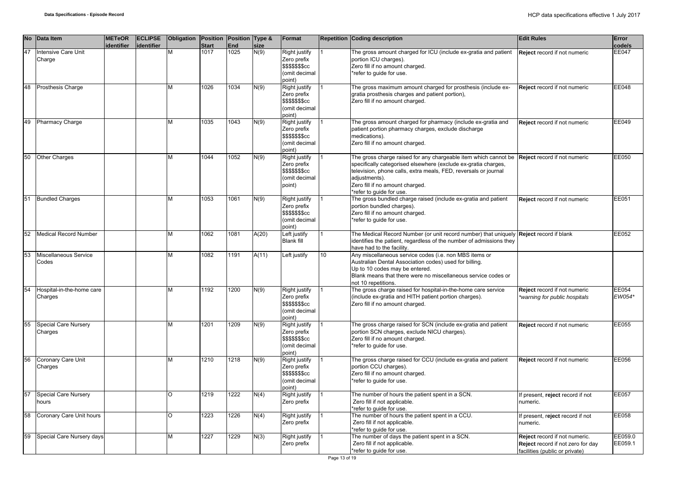|    | No Data Item                         | <b>METeOR</b><br>identifier | <b>ECLIPSE</b><br>identifier | Obligation Position Position Type & | <b>Start</b> | <b>End</b> | size  | Format                                                                                   |                 | <b>Repetition Coding description</b>                                                                                                                                                                                                                                                 | <b>Edit Rules</b>                                                                                    | Error<br>code/s    |
|----|--------------------------------------|-----------------------------|------------------------------|-------------------------------------|--------------|------------|-------|------------------------------------------------------------------------------------------|-----------------|--------------------------------------------------------------------------------------------------------------------------------------------------------------------------------------------------------------------------------------------------------------------------------------|------------------------------------------------------------------------------------------------------|--------------------|
| 47 | Intensive Care Unit<br>Charge        |                             |                              |                                     | 1017         | 1025       | N(9)  | Right justify<br>Zero prefix<br>\$\$\$\$\$\$\$cc<br>(omit decimal<br>point)              |                 | The gross amount charged for ICU (include ex-gratia and patient<br>portion ICU charges).<br>Zero fill if no amount charged.<br>*refer to guide for use.                                                                                                                              | Reject record if not numeric                                                                         | <b>EE047</b>       |
| 48 | Prosthesis Charge                    |                             |                              | M                                   | 1026         | 1034       | N(9)  | Right justify<br>Zero prefix<br>\$\$\$\$\$\$\$cc<br>(omit decimal<br>point)              |                 | The gross maximum amount charged for prosthesis (include ex-<br>gratia prosthesis charges and patient portion),<br>Zero fill if no amount charged.                                                                                                                                   | Reject record if not numeric                                                                         | EE048              |
| 49 | <b>Pharmacy Charge</b>               |                             |                              | м                                   | 1035         | 1043       | N(9)  | <b>Right justify</b><br>Zero prefix<br>\$\$\$\$\$\$\$cc<br>(omit decimal<br>point)       |                 | The gross amount charged for pharmacy (include ex-gratia and<br>patient portion pharmacy charges, exclude discharge<br>medications).<br>Zero fill if no amount charged.                                                                                                              | Reject record if not numeric                                                                         | EE049              |
| 50 | <b>Other Charges</b>                 |                             |                              | м                                   | 1044         | 1052       | N(9)  | Right justify<br>Zero prefix<br>\$\$\$\$\$\$\$cc<br>(omit decimal<br>point)              |                 | The gross charge raised for any chargeable item which cannot be<br>specifically categorised elsewhere (exclude ex-gratia charges,<br>television, phone calls, extra meals, FED, reversals or journal<br>adjustments).<br>Zero fill if no amount charged.<br>*refer to guide for use. | Reject record if not numeric                                                                         | EE050              |
| 51 | <b>Bundled Charges</b>               |                             |                              | м                                   | 1053         | 1061       | N(9)  | Right justify<br>Zero prefix<br>\$\$\$\$\$\$ <sub>\$</sub> cc<br>(omit decimal<br>point) |                 | The gross bundled charge raised (include ex-gratia and patient<br>portion bundled charges).<br>Zero fill if no amount charged.<br>*refer to quide for use.                                                                                                                           | Reject record if not numeric                                                                         | EE051              |
| 52 | Medical Record Number                |                             |                              | M                                   | 1062         | 1081       | A(20) | Left justify<br><b>Blank fill</b>                                                        |                 | The Medical Record Number (or unit record number) that uniquely<br>identifies the patient, regardless of the number of admissions they<br>have had to the facility.                                                                                                                  | Reject record if blank                                                                               | EE052              |
| 53 | Miscellaneous Service<br>Codes       |                             |                              | М                                   | 1082         | 1191       | A(11) | Left justify                                                                             | 10 <sup>1</sup> | Any miscellaneous service codes (i.e. non MBS items or<br>Australian Dental Association codes) used for billing.<br>Up to 10 codes may be entered.<br>Blank means that there were no miscellaneous service codes or<br>not 10 repetitions.                                           |                                                                                                      |                    |
| 54 | Hospital-in-the-home care<br>Charges |                             |                              | M                                   | 1192         | 1200       | N(9)  | Right justify<br>Zero prefix<br>\$\$\$\$\$\$ <sub>\$</sub> cc<br>(omit decimal<br>point) |                 | The gross charge raised for hospital-in-the-home care service<br>(include ex-gratia and HITH patient portion charges).<br>Zero fill if no amount charged.                                                                                                                            | Reject record if not numeric<br>warning for public hospitals                                         | EE054<br>EW054*    |
| 55 | Special Care Nursery<br>Charges      |                             |                              | M                                   | 1201         | 1209       | N(9)  | Right justify<br>Zero prefix<br>\$\$\$\$\$\$\$cc<br>(omit decimal<br>point)              |                 | The gross charge raised for SCN (include ex-gratia and patient<br>portion SCN charges, exclude NICU charges).<br>Zero fill if no amount charged.<br>*refer to guide for use.                                                                                                         | Reject record if not numeric                                                                         | EE055              |
| 56 | Coronary Care Unit<br>Charges        |                             |                              | M                                   | 1210         | 1218       | N(9)  | Right justify<br>Zero prefix<br>\$\$\$\$\$\$ <sub>\$</sub> cc<br>(omit decimal<br>point) |                 | The gross charge raised for CCU (include ex-gratia and patient<br>portion CCU charges).<br>Zero fill if no amount charged.<br>*refer to guide for use.                                                                                                                               | Reject record if not numeric                                                                         | EE056              |
| 57 | Special Care Nursery<br>hours        |                             |                              | O                                   | 1219         | 1222       | N(4)  | Right justify<br>Zero prefix                                                             |                 | The number of hours the patient spent in a SCN.<br>Zero fill if not applicable.<br>*refer to guide for use.                                                                                                                                                                          | f present, reject record if not<br>numeric.                                                          | <b>EE057</b>       |
| 58 | Coronary Care Unit hours             |                             |                              | O                                   | 1223         | 1226       | N(4)  | Right justify<br>Zero prefix                                                             |                 | The number of hours the patient spent in a CCU.<br>Zero fill if not applicable.<br>*refer to guide for use.                                                                                                                                                                          | f present, reject record if not<br>numeric.                                                          | EE058              |
| 59 | Special Care Nursery days            |                             |                              | м                                   | 1227         | 1229       | N(3)  | <b>Right justify</b><br>Zero prefix                                                      |                 | The number of days the patient spent in a SCN.<br>Zero fill if not applicable.<br>*refer to guide for use.                                                                                                                                                                           | Reject record if not numeric.<br>Reject record if not zero for day<br>facilities (public or private) | EE059.0<br>EE059.1 |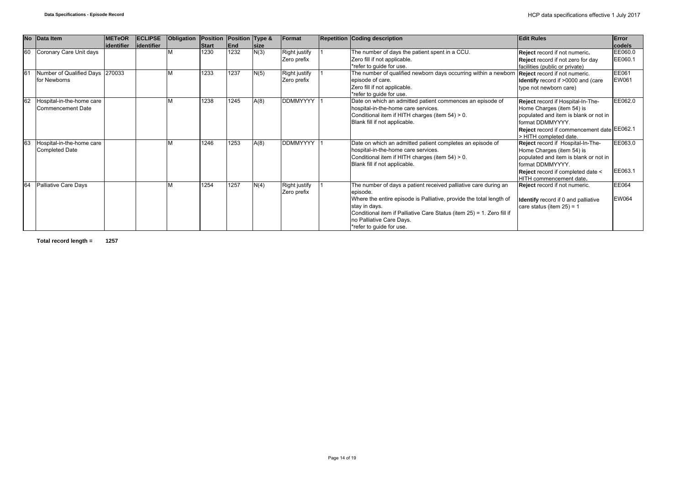|    | No Data Item                    | <b>METeOR</b> | <b>ECLIPSE</b> | Obligation | Position | Position Type & |              | Format          | <b>Repetition Coding description</b>                                   | <b>Edit Rules</b>                          | Error        |
|----|---------------------------------|---------------|----------------|------------|----------|-----------------|--------------|-----------------|------------------------------------------------------------------------|--------------------------------------------|--------------|
|    |                                 | lidentifier   | lidentifier    |            | Start    | End             | <b>Isize</b> |                 |                                                                        |                                            | code/s       |
| 60 | Coronary Care Unit days         |               |                |            | 1230     | 1232            | N(3)         | Right justify   | The number of days the patient spent in a CCU.                         | Reject record if not numeric.              | EE060.0      |
|    |                                 |               |                |            |          |                 |              | Zero prefix     | Zero fill if not applicable.                                           | Reject record if not zero for day          | EE060.1      |
|    |                                 |               |                |            |          |                 |              |                 | *refer to guide for use.                                               | facilities (public or private)             |              |
| 61 | Number of Qualified Days 270033 |               |                |            | 1233     | 1237            | N(5)         | Right justify   | The number of qualified newborn days occurring within a newborn        | Reject record if not numeric.              | EE061        |
|    | for Newborns                    |               |                |            |          |                 |              | Zero prefix     | episode of care.                                                       | Identify record if >0000 and (care         | EW061        |
|    |                                 |               |                |            |          |                 |              |                 | Zero fill if not applicable.                                           | type not newborn care)                     |              |
|    |                                 |               |                |            |          |                 |              |                 | *refer to guide for use.                                               |                                            |              |
| 62 | Hospital-in-the-home care       |               |                |            | 1238     | 1245            | A(8)         | DDMMYYYY        | Date on which an admitted patient commences an episode of              | Reject record if Hospital-In-The-          | EE062.0      |
|    | Commencement Date               |               |                |            |          |                 |              |                 | hospital-in-the-home care services.                                    | Home Charges (item 54) is                  |              |
|    |                                 |               |                |            |          |                 |              |                 | Conditional item if HITH charges (item 54) > 0.                        | populated and item is blank or not in      |              |
|    |                                 |               |                |            |          |                 |              |                 | Blank fill if not applicable.                                          | format DDMMYYYY.                           |              |
|    |                                 |               |                |            |          |                 |              |                 |                                                                        | Reject record if commencement date EE062.1 |              |
|    |                                 |               |                |            |          |                 |              |                 |                                                                        | > HITH completed date.                     |              |
| 63 | Hospital-in-the-home care       |               |                |            | 1246     | 1253            | A(8)         | <b>DDMMYYYY</b> | Date on which an admitted patient completes an episode of              | Reject record if Hospital-In-The-          | EE063.0      |
|    | <b>Completed Date</b>           |               |                |            |          |                 |              |                 | hospital-in-the-home care services.                                    | Home Charges (item 54) is                  |              |
|    |                                 |               |                |            |          |                 |              |                 | Conditional item if HITH charges (item 54) > 0.                        | populated and item is blank or not in      |              |
|    |                                 |               |                |            |          |                 |              |                 | Blank fill if not applicable.                                          | format DDMMYYYY.                           |              |
|    |                                 |               |                |            |          |                 |              |                 |                                                                        | <b>Reject</b> record if completed date <   | EE063.1      |
|    |                                 |               |                |            |          |                 |              |                 |                                                                        | HITH commencement date.                    |              |
| 64 | <b>Palliative Care Days</b>     |               |                |            | 1254     | 1257            | N(4)         | Right justify   | The number of days a patient received palliative care during an        | Reject record if not numeric.              | EE064        |
|    |                                 |               |                |            |          |                 |              | Zero prefix     | episode.                                                               |                                            |              |
|    |                                 |               |                |            |          |                 |              |                 | Where the entire episode is Palliative, provide the total length of    | <b>Identify</b> record if 0 and palliative | <b>EW064</b> |
|    |                                 |               |                |            |          |                 |              |                 | stay in days.                                                          | care status (item $25$ ) = 1               |              |
|    |                                 |               |                |            |          |                 |              |                 | Conditional item if Palliative Care Status (item 25) = 1. Zero fill if |                                            |              |
|    |                                 |               |                |            |          |                 |              |                 | no Palliative Care Days.                                               |                                            |              |
|    |                                 |               |                |            |          |                 |              |                 | *refer to quide for use.                                               |                                            |              |

**Total record length = 1257**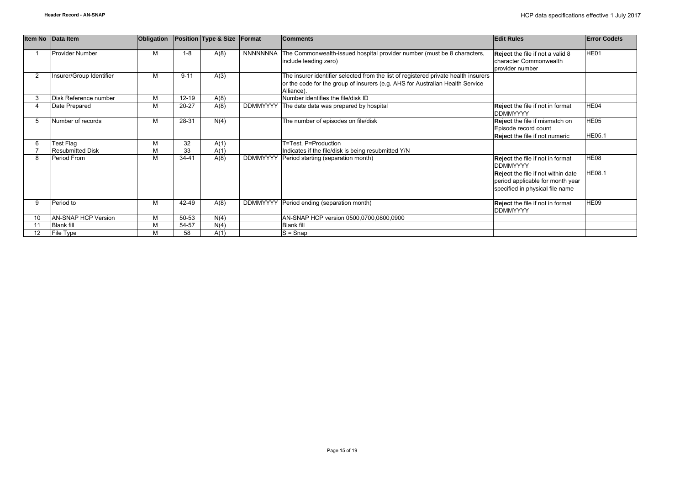|                | Item No Data Item          | <b>Obligation</b> |           | Position Type & Size | Format          | <b>Comments</b>                                                                                                                                                                    | <b>Edit Rules</b>                                                                                                | <b>Error Code/s</b>          |
|----------------|----------------------------|-------------------|-----------|----------------------|-----------------|------------------------------------------------------------------------------------------------------------------------------------------------------------------------------------|------------------------------------------------------------------------------------------------------------------|------------------------------|
|                | Provider Number            | М                 | $1 - 8$   | A(8)                 |                 | NNNNNNNA The Commonwealth-issued hospital provider number (must be 8 characters,<br>include leading zero)                                                                          | Reject the file if not a valid 8<br>character Commonwealth<br>provider number                                    | HE01                         |
| $\overline{2}$ | Insurer/Group Identifier   | М                 | $9 - 11$  | A(3)                 |                 | The insurer identifier selected from the list of registered private health insurers<br>or the code for the group of insurers (e.g. AHS for Australian Health Service<br>Alliance). |                                                                                                                  |                              |
|                | Disk Reference number      | M                 | $12 - 19$ | A(8)                 |                 | Number identifies the file/disk ID                                                                                                                                                 |                                                                                                                  |                              |
|                | Date Prepared              | М                 | $20 - 27$ | A(8)                 |                 | DDMMYYYY The date data was prepared by hospital                                                                                                                                    | Reject the file if not in format<br><b>DDMMYYYY</b>                                                              | HE04                         |
| 5              | Number of records          | М                 | 28-31     | N(4)                 |                 | The number of episodes on file/disk                                                                                                                                                | Reject the file if mismatch on<br>Episode record count<br><b>Reject</b> the file if not numeric                  | <b>HE05</b><br><b>HE05.1</b> |
| 6              | Test Flag                  | М                 | 32        | A(1)                 |                 | T=Test, P=Production                                                                                                                                                               |                                                                                                                  |                              |
|                | <b>Resubmitted Disk</b>    | М                 | 33        | A(1)                 |                 | Indicates if the file/disk is being resubmitted Y/N                                                                                                                                |                                                                                                                  |                              |
| 8              | Period From                | M                 | $34 - 41$ | A(8)                 | <b>DDMMYYYY</b> | Period starting (separation month)                                                                                                                                                 | <b>Reject</b> the file if not in format<br><b>DDMMYYYY</b>                                                       | <b>HE08</b>                  |
|                |                            |                   |           |                      |                 |                                                                                                                                                                                    | <b>Reject</b> the file if not within date<br>period applicable for month year<br>specified in physical file name | <b>HE08.1</b>                |
| 9              | Period to                  | M                 | 42-49     | A(8)                 |                 | DDMMYYYY   Period ending (separation month)                                                                                                                                        | <b>Reject</b> the file if not in format<br><b>DDMMYYYY</b>                                                       | HE09                         |
| 10             | <b>AN-SNAP HCP Version</b> | M                 | 50-53     | N(4)                 |                 | AN-SNAP HCP version 0500,0700,0800,0900                                                                                                                                            |                                                                                                                  |                              |
|                | <b>Blank fill</b>          | M                 | 54-57     | N(4)                 |                 | <b>Blank fill</b>                                                                                                                                                                  |                                                                                                                  |                              |
| 12             | File Type                  | М                 | 58        | A(1)                 |                 | $S =$ Snap                                                                                                                                                                         |                                                                                                                  |                              |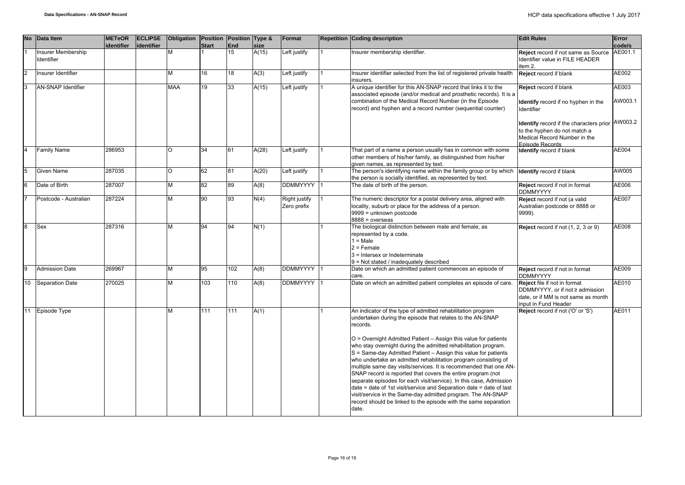|                | No Data Item                     | <b>METeOR</b><br>identifier | <b>ECLIPSE</b><br>identifier | Obligation Position Position Type & | <b>Start</b> | <b>End</b> | size  | Format                       | <b>Repetition Coding description</b>                                                                                                                                                                                                                                                                                                                                                                                                                                                                                                                                                                                                                                                                                                                                                                                                      | <b>Edit Rules</b>                                                                                                                     | Error<br>code/s  |
|----------------|----------------------------------|-----------------------------|------------------------------|-------------------------------------|--------------|------------|-------|------------------------------|-------------------------------------------------------------------------------------------------------------------------------------------------------------------------------------------------------------------------------------------------------------------------------------------------------------------------------------------------------------------------------------------------------------------------------------------------------------------------------------------------------------------------------------------------------------------------------------------------------------------------------------------------------------------------------------------------------------------------------------------------------------------------------------------------------------------------------------------|---------------------------------------------------------------------------------------------------------------------------------------|------------------|
|                | Insurer Membership<br>Identifier |                             |                              |                                     |              | 15         | A(15) | Left justify                 | Insurer membership identifier.                                                                                                                                                                                                                                                                                                                                                                                                                                                                                                                                                                                                                                                                                                                                                                                                            | Reject record if not same as Source<br>Identifier value in FILE HEADER<br>item 2.                                                     | AE001.1          |
| $\overline{2}$ | Insurer Identifier               |                             |                              | М                                   | 16           | 18         | A(3)  | Left justify                 | Insurer identifier selected from the list of registered private health<br>insurers.                                                                                                                                                                                                                                                                                                                                                                                                                                                                                                                                                                                                                                                                                                                                                       | Reject record if blank                                                                                                                | AE002            |
| 3              | <b>AN-SNAP Identifier</b>        |                             |                              | MAA                                 | 19           | 33         | A(15) | Left justify                 | A unique identifier for this AN-SNAP record that links it to the<br>associated episode (and/or medical and prosthetic records). It is a<br>combination of the Medical Record Number (in the Episode<br>record) and hyphen and a record number (sequential counter)                                                                                                                                                                                                                                                                                                                                                                                                                                                                                                                                                                        | Reject record if blank<br><b>Identify</b> record if no hyphen in the<br>Identifier                                                    | AE003<br>AW003.1 |
|                |                                  |                             |                              |                                     |              |            |       |                              |                                                                                                                                                                                                                                                                                                                                                                                                                                                                                                                                                                                                                                                                                                                                                                                                                                           | Identify record if the characters prior<br>to the hyphen do not match a<br>Medical Record Number in the<br>Episode Records            | AW003.2          |
|                | <b>Family Name</b>               | 286953                      |                              | $\Omega$                            | 34           | 61         | A(28) | Left justify                 | That part of a name a person usually has in common with some<br>other members of his/her family, as distinguished from his/her<br>given names, as represented by text.                                                                                                                                                                                                                                                                                                                                                                                                                                                                                                                                                                                                                                                                    | <b>Identify</b> record if blank                                                                                                       | AE004            |
| 5              | <b>Given Name</b>                | 287035                      |                              | O                                   | 62           | 81         | A(20) | Left justify                 | The person's identifying name within the family group or by which<br>the person is socially identified, as represented by text.                                                                                                                                                                                                                                                                                                                                                                                                                                                                                                                                                                                                                                                                                                           | <b>Identify record if blank</b>                                                                                                       | AW005            |
| 6              | Date of Birth                    | 287007                      |                              | М                                   | 82           | 89         | A(8)  | <b>DDMMYYYY</b>              | The date of birth of the person.                                                                                                                                                                                                                                                                                                                                                                                                                                                                                                                                                                                                                                                                                                                                                                                                          | Reject record if not in format<br><b>DDMMYYYY</b>                                                                                     | AE006            |
|                | Postcode - Australian            | 287224                      |                              | М                                   | 90           | 93         | N(4)  | Right justify<br>Zero prefix | The numeric descriptor for a postal delivery area, aligned with<br>locality, suburb or place for the address of a person.<br>9999 = unknown postcode<br>$8888 = 0$ verseas                                                                                                                                                                                                                                                                                                                                                                                                                                                                                                                                                                                                                                                                | Reject record if not (a valid<br>Australian postcode or 8888 or<br>9999).                                                             | AE007            |
| 8              | Sex                              | 287316                      |                              | м                                   | 94           | 94         | N(1)  |                              | The biological distinction between male and female, as<br>represented by a code.<br>$1 = Male$<br>$2$ = Female<br>3 = Intersex or Indeterminate<br>9 = Not stated / inadequately described                                                                                                                                                                                                                                                                                                                                                                                                                                                                                                                                                                                                                                                | Reject record if not (1, 2, 3 or 9)                                                                                                   | AE008            |
| <b>g</b>       | <b>Admission Date</b>            | 269967                      |                              | М                                   | 95           | 102        | A(8)  | DDMMYYYY 1                   | Date on which an admitted patient commences an episode of<br>care.                                                                                                                                                                                                                                                                                                                                                                                                                                                                                                                                                                                                                                                                                                                                                                        | Reject record if not in format<br><b>DDMMYYYY</b>                                                                                     | AE009            |
| 10             | <b>Separation Date</b>           | 270025                      |                              | М                                   | 103          | 110        | A(8)  | DDMMYYYY                     | Date on which an admitted patient completes an episode of care.                                                                                                                                                                                                                                                                                                                                                                                                                                                                                                                                                                                                                                                                                                                                                                           | <b>Reject</b> file if not in format<br>DDMMYYYY, or if not ≥ admission<br>date, or if MM is not same as month<br>input in Fund Header | AE010            |
| 11             | Episode Type                     |                             |                              | М                                   | 111          | 111        | A(1)  |                              | An indicator of the type of admitted rehabilitation program<br>undertaken during the episode that relates to the AN-SNAP<br>records.<br>O = Overnight Admitted Patient - Assign this value for patients<br>who stay overnight during the admitted rehabilitation program.<br>S = Same-day Admitted Patient - Assign this value for patients<br>who undertake an admitted rehabilitation program consisting of<br>multiple same day visits/services. It is recommended that one AN-<br>SNAP record is reported that covers the entire program (not<br>separate episodes for each visit/service). In this case, Admission<br>date = date of 1st visit/service and Separation date = date of last<br>visit/service in the Same-day admitted program. The AN-SNAP<br>record should be linked to the episode with the same separation<br>date. | Reject record if not ('O' or 'S')                                                                                                     | AE011            |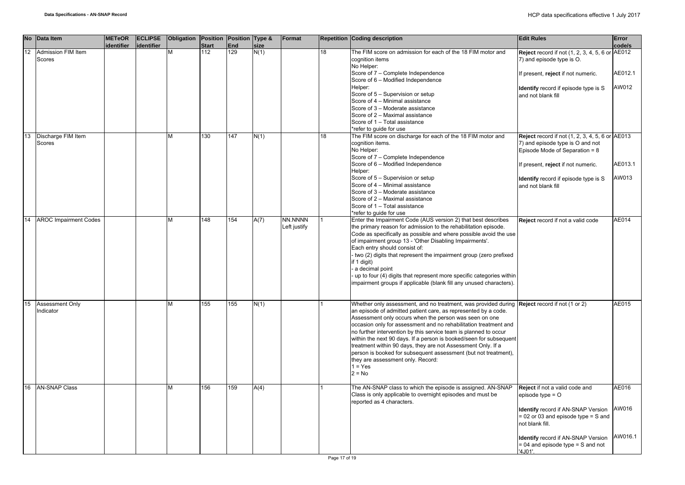|    | No Data Item                 | <b>METeOR</b><br>identifier | <b>ECLIPSE</b><br>identifier | Obligation Position Position Type & | <b>Start</b> | <b>End</b> | size | Format                  |    | <b>Repetition Coding description</b>                                                                                                                                                                                                                                                                                                                                                                                                                                                                                                                                                                                                    | <b>Edit Rules</b>                                                                                                            | Error<br>code/s |
|----|------------------------------|-----------------------------|------------------------------|-------------------------------------|--------------|------------|------|-------------------------|----|-----------------------------------------------------------------------------------------------------------------------------------------------------------------------------------------------------------------------------------------------------------------------------------------------------------------------------------------------------------------------------------------------------------------------------------------------------------------------------------------------------------------------------------------------------------------------------------------------------------------------------------------|------------------------------------------------------------------------------------------------------------------------------|-----------------|
| 12 | Admission FIM Item<br>Scores |                             |                              |                                     | 112          | 129        | N(1) |                         | 18 | The FIM score on admission for each of the 18 FIM motor and<br>cognition items<br>No Helper:                                                                                                                                                                                                                                                                                                                                                                                                                                                                                                                                            | Reject record if not (1, 2, 3, 4, 5, 6 or AE012<br>7) and episode type is O.                                                 |                 |
|    |                              |                             |                              |                                     |              |            |      |                         |    | Score of 7 - Complete Independence<br>Score of 6 - Modified Independence                                                                                                                                                                                                                                                                                                                                                                                                                                                                                                                                                                | If present, reject if not numeric.                                                                                           | AE012.1         |
|    |                              |                             |                              |                                     |              |            |      |                         |    | Helper:<br>Score of 5 - Supervision or setup<br>Score of 4 - Minimal assistance<br>Score of 3 - Moderate assistance                                                                                                                                                                                                                                                                                                                                                                                                                                                                                                                     | Identify record if episode type is S<br>and not blank fill                                                                   | AW012           |
|    |                              |                             |                              |                                     |              |            |      |                         |    | Score of 2 - Maximal assistance<br>Score of 1 - Total assistance<br>*refer to guide for use                                                                                                                                                                                                                                                                                                                                                                                                                                                                                                                                             |                                                                                                                              |                 |
| 13 | Discharge FIM Item<br>Scores |                             |                              | м                                   | 130          | 147        | N(1) |                         | 18 | The FIM score on discharge for each of the 18 FIM motor and<br>cognition items.<br>No Helper:<br>Score of 7 - Complete Independence                                                                                                                                                                                                                                                                                                                                                                                                                                                                                                     | <b>Reject</b> record if not (1, 2, 3, 4, 5, 6 or AE013<br>7) and episode type is O and not<br>Episode Mode of Separation = 8 |                 |
|    |                              |                             |                              |                                     |              |            |      |                         |    | Score of 6 - Modified Independence<br>Helper:                                                                                                                                                                                                                                                                                                                                                                                                                                                                                                                                                                                           | If present, reject if not numeric.                                                                                           | AE013.1         |
|    |                              |                             |                              |                                     |              |            |      |                         |    | Score of 5 - Supervision or setup<br>Score of 4 - Minimal assistance<br>Score of 3 - Moderate assistance<br>Score of 2 - Maximal assistance<br>Score of 1 - Total assistance                                                                                                                                                                                                                                                                                                                                                                                                                                                            | Identify record if episode type is S<br>and not blank fill                                                                   | AW013           |
| 14 | <b>AROC Impairment Codes</b> |                             |                              | м                                   | 148          | 154        | A(7) | NN.NNNN<br>Left justify |    | *refer to guide for use<br>Enter the Impairment Code (AUS version 2) that best describes<br>the primary reason for admission to the rehabilitation episode.<br>Code as specifically as possible and where possible avoid the use<br>of impairment group 13 - 'Other Disabling Impairments'.<br>Each entry should consist of:<br>- two (2) digits that represent the impairment group (zero prefixed<br>if 1 digit)<br>a decimal point<br>- up to four (4) digits that represent more specific categories within<br>impairment groups if applicable (blank fill any unused characters).                                                  | Reject record if not a valid code                                                                                            | AE014           |
| 15 | Assessment Only<br>Indicator |                             |                              | М                                   | 155          | 155        | N(1) |                         |    | Whether only assessment, and no treatment, was provided during Reject record if not (1 or 2)<br>an episode of admitted patient care, as represented by a code.<br>Assessment only occurs when the person was seen on one<br>occasion only for assessment and no rehabilitation treatment and<br>no further intervention by this service team is planned to occur<br>within the next 90 days. If a person is booked/seen for subsequent<br>treatment within 90 days, they are not Assessment Only. If a<br>person is booked for subsequent assessment (but not treatment),<br>they are assessment only. Record:<br>$1 = Yes$<br>$2 = No$ |                                                                                                                              | AE015           |
| 16 | <b>AN-SNAP Class</b>         |                             |                              | М                                   | 156          | 159        | A(4) |                         |    | The AN-SNAP class to which the episode is assigned. AN-SNAP<br>Class is only applicable to overnight episodes and must be                                                                                                                                                                                                                                                                                                                                                                                                                                                                                                               | Reject if not a valid code and<br>episode type $=$ $\circ$                                                                   | AE016           |
|    |                              |                             |                              |                                     |              |            |      |                         |    | reported as 4 characters.                                                                                                                                                                                                                                                                                                                                                                                                                                                                                                                                                                                                               | <b>Identify record if AN-SNAP Version</b><br>$= 02$ or 03 and episode type $= S$ and<br>not blank fill.                      | AW016           |
|    |                              |                             |                              |                                     |              |            |      |                         |    |                                                                                                                                                                                                                                                                                                                                                                                                                                                                                                                                                                                                                                         | <b>Identify record if AN-SNAP Version</b><br>$= 04$ and episode type $= S$ and not<br>'4 IO1'                                | AW016.1         |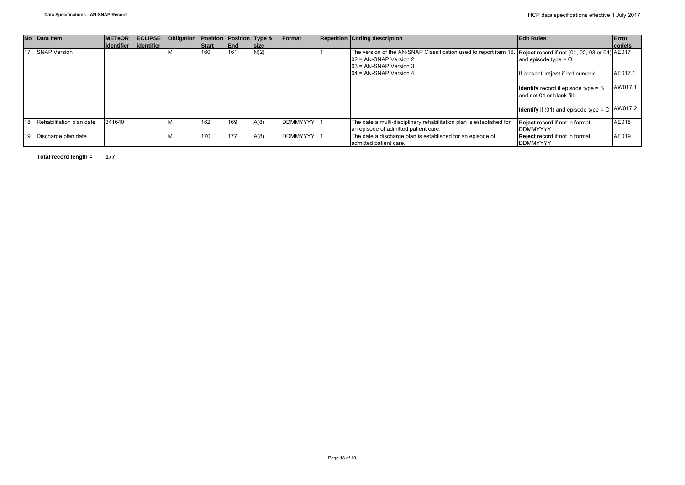|    | No Data Item             | <b>IMETeOR</b> |             | <b>ECLIPSE Obligation Position Position Type &amp;</b> |       |            |             | Format          | <b>Repetition Coding description</b>                                                                                                                                      | <b>Edit Rules</b>                                                         | Error   |
|----|--------------------------|----------------|-------------|--------------------------------------------------------|-------|------------|-------------|-----------------|---------------------------------------------------------------------------------------------------------------------------------------------------------------------------|---------------------------------------------------------------------------|---------|
|    |                          | lidentifier    | lidentifier |                                                        | Start | <b>End</b> | <b>Size</b> |                 |                                                                                                                                                                           |                                                                           | code/s  |
|    | 17 SNAP Version          |                |             |                                                        | 160   | 161        | N(2)        |                 | The version of the AN-SNAP Classification used to report item 16. Reject record if not (01, 02, 03 or 04) AE017<br>$102$ = AN-SNAP Version 2<br>$103$ = AN-SNAP Version 3 | and episode type $=$ O                                                    |         |
|    |                          |                |             |                                                        |       |            |             |                 | $104$ = AN-SNAP Version 4                                                                                                                                                 | If present, reject if not numeric.                                        | AE017.1 |
|    |                          |                |             |                                                        |       |            |             |                 |                                                                                                                                                                           | <b>Identify</b> record if episode type $=$ S<br>and not 04 or blank fill. | AW017.1 |
|    |                          |                |             |                                                        |       |            |             |                 |                                                                                                                                                                           | <b>Identify</b> if (01) and episode type = $\circ$ $\sqrt{4W017.2}$       |         |
| 18 | Rehabilitation plan date | 341640         |             |                                                        | 162   | 169        | A(8)        | <b>DDMMYYYY</b> | The date a multi-disciplinary rehabilitation plan is established for<br>an episode of admitted patient care.                                                              | <b>Reject</b> record if not in format<br><b>IDDMMYYYY</b>                 | AE018   |
| 19 | Discharge plan date      |                |             |                                                        | 170   | 177        | A(8)        | <b>DDMMYYYY</b> | The date a discharge plan is established for an episode of<br>admitted patient care.                                                                                      | <b>Reject</b> record if not in format<br><b>IDDMMYYYY</b>                 | AE019   |

**Total record length = 177**